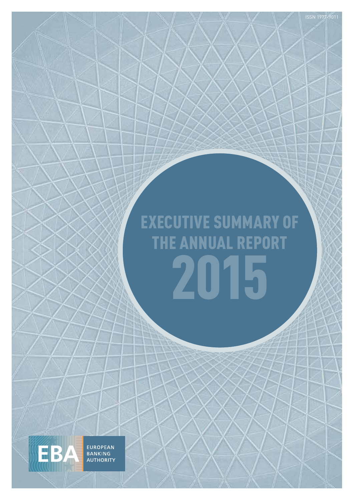# EXECUTIVE SUMMARY OF THE ANNUAL REPORT 2015

EUROPEAN<br>BANKING<br>AUTHORITY

**EBA**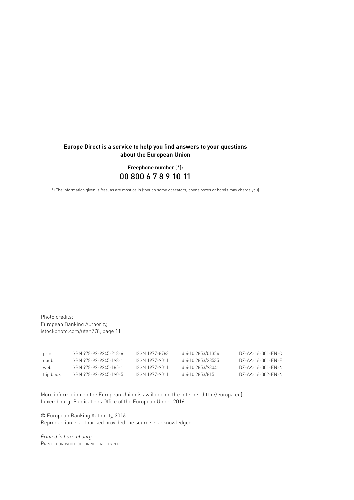# **Europe Direct is a service to help you find answers to your questions about the European Union**

# **Freephone number** (\*)**:** 00 800 6 7 8 9 10 11

(\*) The information given is free, as are most calls (though some operators, phone boxes or hotels may charge you).

Photo credits: European Banking Authority, istockphoto.com/utah778, page 11

| print     | ISBN 978-92-9245-218-6 | ISSN 1977-8783 | doi:10.2853/01354 | DZ-AA-16-001-FN-C |
|-----------|------------------------|----------------|-------------------|-------------------|
| epub      | ISBN 978-92-9245-198-1 | ISSN 1977-9011 | doi:10.2853/28535 | DZ-AA-16-001-FN-F |
| web       | ISBN 978-92-9245-185-1 | ISSN 1977-9011 | doi:10.2853/93041 | DZ-AA-16-001-FN-N |
| flip book | ISBN 978-92-9245-190-5 | ISSN 1977-9011 | doi:10.2853/815   | DZ-AA-16-002-FN-N |

More information on the European Union is available on the Internet ([http://europa.eu\)](http://europa.eu). Luxembourg: Publications Office of the European Union, 2016

© European Banking Authority, 2016 Reproduction is authorised provided the source is acknowledged.

*Printed in Luxembourg* Printed on white chlorine-free paper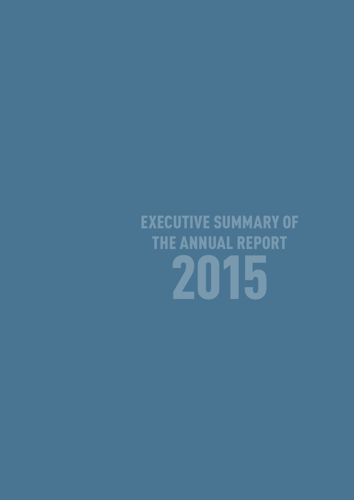EXECUTIVE SUMMARY OF THE ANNUAL REPORT 2015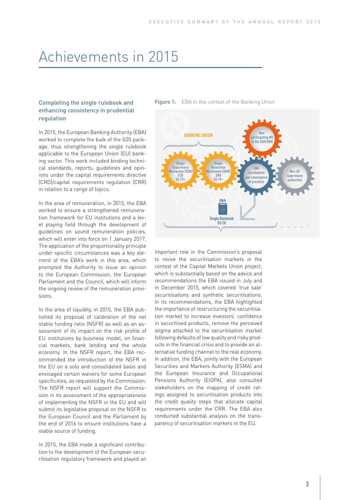# Achievements in 2015

# Completing the single rulebook and enhancing consistency in prudential regulation

In 2015, the European Banking Authority (EBA) worked to complete the bulk of the G20 package, thus strengthening the single rulebook applicable to the European Union (EU) banking sector. This work included binding technical standards, reports, guidelines and opinions under the capital requirements directive (CRD)/capital requirements regulation (CRR) in relation to a range of topics.

In the area of remuneration, in 2015, the EBA worked to ensure a strengthened remuneration framework for EU institutions and a level playing field through the development of guidelines on sound remuneration policies, which will enter into force on 1 January 2017. The application of the proportionality principle under specific circumstances was a key element of the EBA's work in this area, which prompted the Authority to issue an opinion to the European Commission, the European Parliament and the Council, which will inform the ongoing review of the remuneration provisions.

In the area of liquidity, in 2015, the EBA published its proposal of calibration of the net stable funding ratio (NSFR) as well as an assessment of its impact on the risk profile of EU institutions by business model, on financial markets, bank lending and the whole economy. In the NSFR report, the EBA recommended the introduction of the NSFR in the EU on a solo and consolidated basis and envisaged certain waivers for some European specificities, as requested by the Commission. The NSFR report will support the Commission in its assessment of the appropriateness of implementing the NSFR in the EU and will submit its legislative proposal on the NSFR to the European Council and the Parliament by the end of 2016 to ensure institutions have a stable source of funding.

In 2015, the EBA made a significant contribution to the development of the European securitisation regulatory framework and played an

#### Figure 1: EBA in the context of the Banking Union



important role in the Commission's proposal to revive the securitisation markets in the context of the Capital Markets Union project, which is substantially based on the advice and recommendations the EBA issued in July and in December 2015, which covered 'true sale' securitisations and synthetic securitisations. In its recommendations, the EBA highlighted the importance of restructuring the securitisation market to increase investors' confidence in securitised products, remove the perceived stigma attached to the securitisation market following defaults of low quality and risky products in the financial crisis and to provide an alternative funding channel to the real economy. In addition, the EBA, jointly with the European Securities and Markets Authority (ESMA) and the European Insurance and Occupational Pensions Authority (EIOPA), also consulted stakeholders on the mapping of credit ratings assigned to securitisation products into the credit quality steps that allocate capital requirements under the CRR. The EBA also conducted substantial analysis on the transparency of securitisation markets in the EU.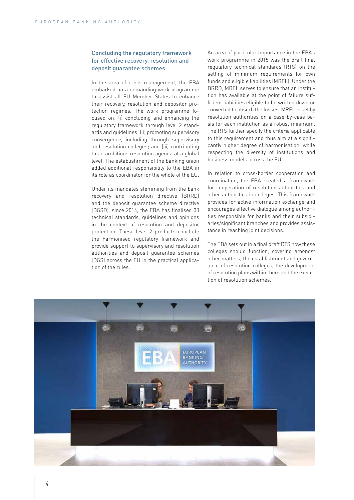## Concluding the regulatory framework for effective recovery, resolution and deposit guarantee schemes

In the area of crisis management, the EBA embarked on a demanding work programme to assist all EU Member States to enhance their recovery, resolution and depositor protection regimes. The work programme focused on: (i) concluding and enhancing the regulatory framework through level 2 standards and guidelines; (ii) promoting supervisory convergence, including through supervisory and resolution colleges; and (iii) contributing to an ambitious resolution agenda at a global level. The establishment of the banking union added additional responsibility to the EBA in its role as coordinator for the whole of the EU.

Under its mandates stemming from the bank recovery and resolution directive (BRRD) and the deposit guarantee scheme directive (DGSD), since 2014, the EBA has finalised 33 technical standards, guidelines and opinions in the context of resolution and depositor protection. These level 2 products conclude the harmonised regulatory framework and provide support to supervisory and resolution authorities and deposit guarantee schemes (DGS) across the EU in the practical application of the rules.

An area of particular importance in the EBA's work programme in 2015 was the draft final regulatory technical standards (RTS) on the setting of minimum requirements for own funds and eligible liabilities (MREL). Under the BRRD, MREL serves to ensure that an institution has available at the point of failure sufficient liabilities eligible to be written down or converted to absorb the losses. MREL is set by resolution authorities on a case-by-case basis for each institution as a robust minimum. The RTS further specify the criteria applicable to this requirement and thus aim at a significantly higher degree of harmonisation, while respecting the diversity of institutions and business models across the EU.

In relation to cross-border cooperation and coordination, the EBA created a framework for cooperation of resolution authorities and other authorities in colleges. This framework provides for active information exchange and encourages effective dialogue among authorities responsible for banks and their subsidiaries/significant branches and provides assistance in reaching joint decisions.

The EBA sets out in a final draft RTS how these colleges should function, covering amongst other matters, the establishment and governance of resolution colleges, the development of resolution plans within them and the execution of resolution schemes.

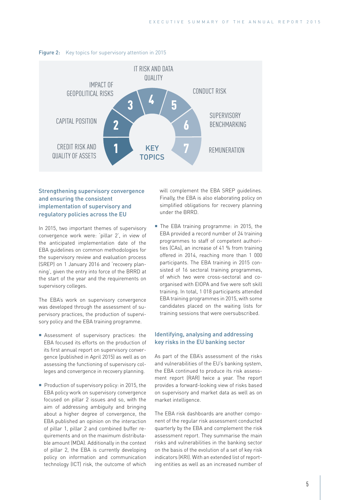

#### Figure 2: Key topics for supervisory attention in 2015

# Strengthening supervisory convergence and ensuring the consistent implementation of supervisory and regulatory policies across the EU

In 2015, two important themes of supervisory convergence work were: 'pillar 2', in view of the anticipated implementation date of the EBA guidelines on common methodologies for the supervisory review and evaluation process (SREP) on 1 January 2016 and 'recovery planning', given the entry into force of the BRRD at the start of the year and the requirements on supervisory colleges.

The EBA's work on supervisory convergence was developed through the assessment of supervisory practices, the production of supervisory policy and the EBA training programme.

- Assessment of supervisory practices: the EBA focused its efforts on the production of its first annual report on supervisory convergence (published in April 2015) as well as on assessing the functioning of supervisory colleges and convergence in recovery planning.
- Production of supervisory policy: in 2015, the EBA policy work on supervisory convergence focused on pillar 2 issues and so, with the aim of addressing ambiguity and bringing about a higher degree of convergence, the EBA published an opinion on the interaction of pillar 1, pillar 2 and combined buffer requirements and on the maximum distributable amount (MDA). Additionally in the context of pillar 2, the EBA is currently developing policy on information and communication technology (ICT) risk, the outcome of which

will complement the EBA SREP guidelines. Finally, the EBA is also elaborating policy on simplified obligations for recovery planning under the BRRD.

■ The EBA training programme: in 2015, the EBA provided a record number of 24 training programmes to staff of competent authorities (CAs), an increase of 41 % from training offered in 2014, reaching more than 1 000 participants. The EBA training in 2015 consisted of 16 sectoral training programmes, of which two were cross-sectoral and coorganised with EIOPA and five were soft skill training. In total, 1 018 participants attended EBA training programmes in 2015, with some candidates placed on the waiting lists for training sessions that were oversubscribed.

### Identifying, analysing and addressing key risks in the EU banking sector

As part of the EBA's assessment of the risks and vulnerabilities of the EU's banking system, the EBA continued to produce its risk assessment report (RAR) twice a year. The report provides a forward-looking view of risks based on supervisory and market data as well as on market intelligence.

The EBA risk dashboards are another component of the regular risk assessment conducted quarterly by the EBA and complement the risk assessment report. They summarise the main risks and vulnerabilities in the banking sector on the basis of the evolution of a set of key risk indicators (KRI). With an extended list of reporting entities as well as an increased number of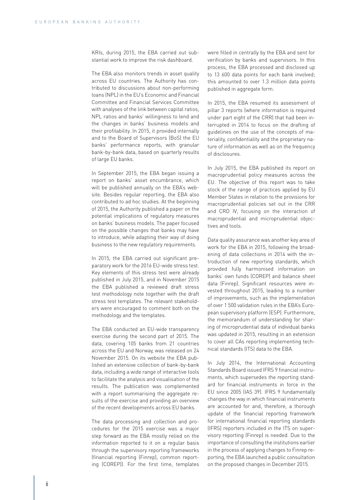KRIs, during 2015, the EBA carried out substantial work to improve the risk dashboard.

The EBA also monitors trends in asset quality across EU countries. The Authority has contributed to discussions about non-performing loans (NPL) in the EU's Economic and Financial Committee and Financial Services Committee with analyses of the link between capital ratios, NPL ratios and banks' willingness to lend and the changes in banks' business models and their profitability. In 2015, it provided internally and to the Board of Supervisors (BoS) the EU banks' performance reports, with granular bank-by-bank data, based on quarterly results of large EU banks.

In September 2015, the EBA began issuing a report on banks' asset encumbrance, which will be published annually on the EBA's website. Besides regular reporting, the EBA also contributed to ad hoc studies. At the beginning of 2015, the Authority published a paper on the potential implications of regulatory measures on banks' business models. The paper focused on the possible changes that banks may have to introduce, while adapting their way of doing business to the new regulatory requirements.

In 2015, the EBA carried out significant preparatory work for the 2016 EU-wide stress test. Key elements of this stress test were already published in July 2015, and in November 2015 the EBA published a reviewed draft stress test methodology note together with the draft stress test templates. The relevant stakeholders were encouraged to comment both on the methodology and the templates.

The EBA conducted an EU-wide transparency exercise during the second part of 2015. The data, covering 105 banks from 21 countries across the EU and Norway, was released on 24 November 2015. On its website the EBA published an extensive collection of bank-by-bank data, including a wide range of interactive tools to facilitate the analysis and visualisation of the results. The publication was complemented with a report summarising the aggregate results of the exercise and providing an overview of the recent developments across EU banks.

The data processing and collection and procedures for the 2015 exercise was a major step forward as the EBA mostly relied on the information reported to it on a regular basis through the supervisory reporting frameworks (financial reporting (Finrep), common reporting (COREP)). For the first time, templates

were filled in centrally by the EBA and sent for verification by banks and supervisors. In this process, the EBA processed and disclosed up to 13 600 data points for each bank involved; this amounted to over 1.3 million data points published in aggregate form.

In 2015, the EBA resumed its assessment of pillar 3 reports (where information is required under part eight of the CRR) that had been interrupted in 2014 to focus on the drafting of guidelines on the use of the concepts of materiality, confidentiality and the proprietary nature of information as well as on the frequency of disclosures.

In July 2015, the EBA published its report on macroprudential policy measures across the EU. The objective of this report was to take stock of the range of practices applied by EU Member States in relation to the provisions for macroprudential policies set out in the CRR and CRD IV, focusing on the interaction of macroprudential and microprudential objectives and tools.

Data quality assurance was another key area of work for the EBA in 2015, following the broadening of data collections in 2014 with the introduction of new reporting standards, which provided fully harmonised information on banks' own funds (COREP) and balance sheet data (Finrep). Significant resources were invested throughout 2015, leading to a number of improvements, such as the implementation of over 1 500 validation rules in the EBA's European supervisory platform (ESP). Furthermore, the memorandum of understanding for sharing of microprudential data of individual banks was updated in 2015, resulting in an extension to cover all CAs reporting implementing technical standards (ITS) data to the EBA.

In July 2014, the International Accounting Standards Board issued IFRS 9 financial instruments, which supersedes the reporting standard for financial instruments in force in the EU since 2005 (IAS 39). IFRS 9 fundamentally changes the way in which financial instruments are accounted for and, therefore, a thorough update of the financial reporting framework for international financial reporting standards (IFRS) reporters included in the ITS on supervisory reporting (Finrep) is needed. Due to the importance of consulting the institutions earlier in the process of applying changes to Finrep reporting, the EBA launched a public consultation on the proposed changes in December 2015.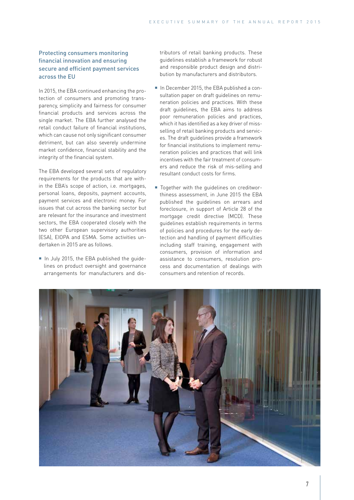# Protecting consumers monitoring financial innovation and ensuring secure and efficient payment services across the EU

In 2015, the EBA continued enhancing the protection of consumers and promoting transparency, simplicity and fairness for consumer financial products and services across the single market. The EBA further analysed the retail conduct failure of financial institutions, which can cause not only significant consumer detriment, but can also severely undermine market confidence, financial stability and the integrity of the financial system.

The EBA developed several sets of regulatory requirements for the products that are within the EBA's scope of action, i.e. mortgages, personal loans, deposits, payment accounts, payment services and electronic money. For issues that cut across the banking sector but are relevant for the insurance and investment sectors, the EBA cooperated closely with the two other European supervisory authorities (ESA), EIOPA and ESMA. Some activities undertaken in 2015 are as follows.

In July 2015, the EBA published the quidelines on product oversight and governance arrangements for manufacturers and distributors of retail banking products. These guidelines establish a framework for robust and responsible product design and distribution by manufacturers and distributors.

- In December 2015, the EBA published a consultation paper on draft guidelines on remuneration policies and practices. With these draft guidelines, the EBA aims to address poor remuneration policies and practices, which it has identified as a key driver of missselling of retail banking products and services. The draft guidelines provide a framework for financial institutions to implement remuneration policies and practices that will link incentives with the fair treatment of consumers and reduce the risk of mis-selling and resultant conduct costs for firms.
- Together with the quidelines on creditworthiness assessment, in June 2015 the EBA published the guidelines on arrears and foreclosure, in support of Article 28 of the mortgage credit directive (MCD). These guidelines establish requirements in terms of policies and procedures for the early detection and handling of payment difficulties including staff training, engagement with consumers, provision of information and assistance to consumers, resolution process and documentation of dealings with consumers and retention of records.

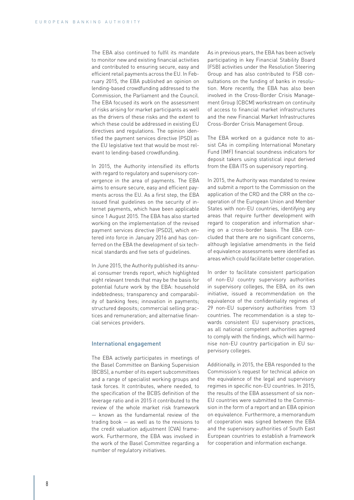The EBA also continued to fulfil its mandate to monitor new and existing financial activities and contributed to ensuring secure, easy and efficient retail payments across the EU. In February 2015, the EBA published an opinion on lending-based crowdfunding addressed to the Commission, the Parliament and the Council. The EBA focused its work on the assessment of risks arising for market participants as well as the drivers of these risks and the extent to which these could be addressed in existing EU directives and regulations. The opinion identified the payment services directive (PSD) as the EU legislative text that would be most relevant to lending-based crowdfunding.

In 2015, the Authority intensified its efforts with regard to regulatory and supervisory convergence in the area of payments. The EBA aims to ensure secure, easy and efficient payments across the EU. As a first step, the EBA issued final guidelines on the security of internet payments, which have been applicable since 1 August 2015. The EBA has also started working on the implementation of the revised payment services directive (PSD2), which entered into force in January 2016 and has conferred on the EBA the development of six technical standards and five sets of guidelines.

In June 2015, the Authority published its annual consumer trends report, which highlighted eight relevant trends that may be the basis for potential future work by the EBA: household indebtedness; transparency and comparability of banking fees; innovation in payments; structured deposits; commercial selling practices and remuneration; and alternative financial services providers.

#### International engagement

The EBA actively participates in meetings of the Basel Committee on Banking Supervision (BCBS), a number of its expert subcommittees and a range of specialist working groups and task forces. It contributes, where needed, to the specification of the BCBS definition of the leverage ratio and in 2015 it contributed to the review of the whole market risk framework — known as the fundamental review of the trading book — as well as to the revisions to the credit valuation adjustment (CVA) framework. Furthermore, the EBA was involved in the work of the Basel Committee regarding a number of regulatory initiatives.

As in previous years, the EBA has been actively participating in key Financial Stability Board (FSB) activities under the Resolution Steering Group and has also contributed to FSB consultations on the funding of banks in resolution. More recently, the EBA has also been involved in the Cross-Border Crisis Management Group (CBCM) workstream on continuity of access to financial market infrastructures and the new Financial Market Infrastructures Cross-Border Crisis Management Group.

The EBA worked on a guidance note to assist CAs in compiling International Monetary Fund (IMF) financial soundness indicators for deposit takers using statistical input derived from the EBA ITS on supervisory reporting.

In 2015, the Authority was mandated to review and submit a report to the Commission on the application of the CRD and the CRR on the cooperation of the European Union and Member States with non-EU countries, identifying any areas that require further development with regard to cooperation and information sharing on a cross-border basis. The EBA concluded that there are no significant concerns, although legislative amendments in the field of equivalence assessments were identified as areas which could facilitate better cooperation.

In order to facilitate consistent participation of non-EU country supervisory authorities in supervisory colleges, the EBA, on its own initiative, issued a recommendation on the equivalence of the confidentiality regimes of 29 non-EU supervisory authorities from 13 countries. The recommendation is a step towards consistent EU supervisory practices, as all national competent authorities agreed to comply with the findings, which will harmonise non-EU country participation in EU supervisory colleges.

Additionally, in 2015, the EBA responded to the Commission's request for technical advice on the equivalence of the legal and supervisory regimes in specific non-EU countries. In 2015, the results of the EBA assessment of six non-EU countries were submitted to the Commission in the form of a report and an EBA opinion on equivalence. Furthermore, a memorandum of cooperation was signed between the EBA and the supervisory authorities of South East European countries to establish a framework for cooperation and information exchange.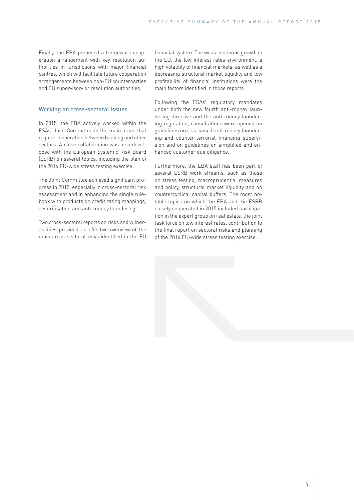Finally, the EBA proposed a framework cooperation arrangement with key resolution authorities in jurisdictions with major financial centres, which will facilitate future cooperation arrangements between non-EU counterparties and EU supervisory or resolution authorities.

## Working on cross-sectoral issues

In 2015, the EBA actively worked within the ESAs' Joint Committee in the main areas that require cooperation between banking and other sectors. A close collaboration was also developed with the European Systemic Risk Board (ESRB) on several topics, including the plan of the 2016 EU-wide stress testing exercise.

The Joint Committee achieved significant progress in 2015, especially in cross-sectoral risk assessment and in enhancing the single rulebook with products on credit rating mappings, securitisation and anti-money laundering.

Two cross-sectoral reports on risks and vulnerabilities provided an effective overview of the main cross-sectoral risks identified in the EU financial system. The weak economic growth in the EU, the low interest rates environment, a high volatility of financial markets, as well as a decreasing structural market liquidity and low profitability of financial institutions were the main factors identified in those reports.

Following the ESAs' regulatory mandates under both the new fourth anti-money laundering directive and the anti-money laundering regulation, consultations were opened on guidelines on risk-based anti-money laundering and counter-terrorist financing supervision and on guidelines on simplified and enhanced customer due diligence.

Furthermore, the EBA staff has been part of several ESRB work streams, such as those on stress testing, macroprudential measures and policy, structural market liquidity and on countercyclical capital buffers. The most notable topics on which the EBA and the ESRB closely cooperated in 2015 included participation in the expert group on real estate, the joint task force on low interest rates, contribution to the final report on sectoral risks and planning of the 2016 EU-wide stress testing exercise.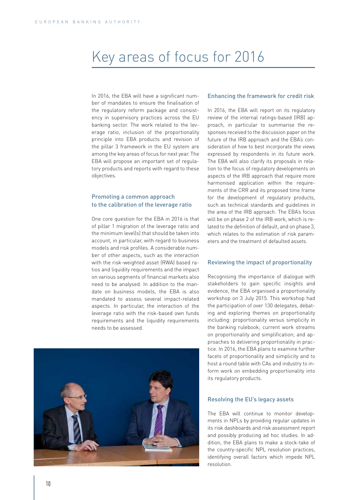# Key areas of focus for 2016

In 2016, the EBA will have a significant number of mandates to ensure the finalisation of the regulatory reform package and consistency in supervisory practices across the EU banking sector. The work related to the leverage ratio, inclusion of the proportionality principle into EBA products and revision of the pillar 3 framework in the EU system are among the key areas of focus for next year. The EBA will propose an important set of regulatory products and reports with regard to these objectives.

#### Promoting a common approach to the calibration of the leverage ratio

One core question for the EBA in 2016 is that of pillar 1 migration of the leverage ratio and the minimum level(s) that should be taken into account, in particular, with regard to business models and risk profiles. A considerable number of other aspects, such as the interaction with the risk-weighted asset (RWA) based ratios and liquidity requirements and the impact on various segments of financial markets also need to be analysed. In addition to the mandate on business models, the EBA is also mandated to assess several impact-related aspects. In particular, the interaction of the leverage ratio with the risk-based own funds requirements and the liquidity requirements needs to be assessed.



#### Enhancing the framework for credit risk

In 2016, the EBA will report on its regulatory review of the internal ratings-based (IRB) approach, in particular to summarise the responses received to the discussion paper on the future of the IRB approach and the EBA's consideration of how to best incorporate the views expressed by respondents in its future work. The EBA will also clarify its proposals in relation to the focus of regulatory developments on aspects of the IRB approach that require more harmonised application within the requirements of the CRR and its proposed time frame for the development of regulatory products, such as technical standards and guidelines in the area of the IRB approach. The EBA's focus will be on phase 2 of the IRB work, which is related to the definition of default, and on phase 3, which relates to the estimation of risk parameters and the treatment of defaulted assets.

#### Reviewing the impact of proportionality

Recognising the importance of dialogue with stakeholders to gain specific insights and evidence, the EBA organised a proportionality workshop on 3 July 2015. This workshop had the participation of over 130 delegates, debating and exploring themes on proportionality including: proportionality versus simplicity in the banking rulebook; current work streams on proportionality and simplification; and approaches to delivering proportionality in practice. In 2016, the EBA plans to examine further facets of proportionality and simplicity and to host a round table with CAs and industry to inform work on embedding proportionality into its regulatory products.

#### Resolving the EU's legacy assets

The EBA will continue to monitor developments in NPLs by providing regular updates in its risk dashboards and risk assessment report and possibly producing ad hoc studies. In addition, the EBA plans to make a stock-take of the country-specific NPL resolution practices, identifying overall factors which impede NPL resolution.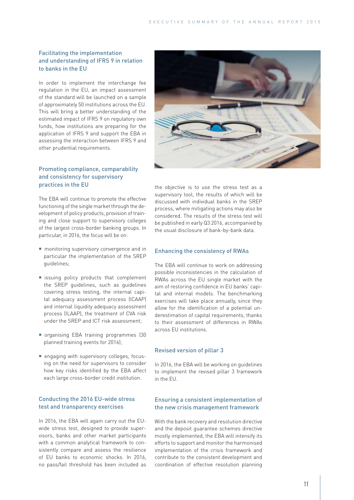# Facilitating the implementation and understanding of IFRS 9 in relation to banks in the EU

In order to implement the interchange fee regulation in the EU, an impact assessment of the standard will be launched on a sample of approximately 50 institutions across the EU. This will bring a better understanding of the estimated impact of IFRS 9 on regulatory own funds, how institutions are preparing for the application of IFRS 9 and support the EBA in assessing the interaction between IFRS 9 and other prudential requirements.

# Promoting compliance, comparability and consistency for supervisory practices in the EU

The EBA will continue to promote the effective functioning of the single market through the development of policy products, provision of training and close support to supervisory colleges of the largest cross-border banking groups. In particular, in 2016, the focus will be on:

- **n** monitoring supervisory convergence and in particular the implementation of the SREP guidelines;
- issuing policy products that complement the SREP guidelines, such as guidelines covering stress testing, the internal capital adequacy assessment process (ICAAP) and internal liquidity adequacy assessment process (ILAAP), the treatment of CVA risk under the SREP and ICT risk assessment;
- organising EBA training programmes (30 planned training events for 2016);
- engaging with supervisory colleges, focusing on the need for supervisors to consider how key risks identified by the EBA affect each large cross-border credit institution.

# Conducting the 2016 EU-wide stress test and transparency exercises

In 2016, the EBA will again carry out the EUwide stress test, designed to provide supervisors, banks and other market participants with a common analytical framework to consistently compare and assess the resilience of EU banks to economic shocks. In 2016, no pass/fail threshold has been included as



the objective is to use the stress test as a supervisory tool, the results of which will be discussed with individual banks in the SREP process, where mitigating actions may also be considered. The results of the stress test will be published in early Q3 2016, accompanied by the usual disclosure of bank-by-bank data.

#### Enhancing the consistency of RWAs

The EBA will continue to work on addressing possible inconsistencies in the calculation of RWAs across the EU single market with the aim of restoring confidence in EU banks' capital and internal models. The benchmarking exercises will take place annually, since they allow for the identification of a potential underestimation of capital requirements, thanks to their assessment of differences in RWAs across EU institutions.

#### Revised version of pillar 3

In 2016, the EBA will be working on guidelines to implement the revised pillar 3 framework in the EU.

### Ensuring a consistent implementation of the new crisis management framework

With the bank recovery and resolution directive and the deposit guarantee schemes directive mostly implemented, the EBA will intensify its efforts to support and monitor the harmonised implementation of the crisis framework and contribute to the consistent development and coordination of effective resolution planning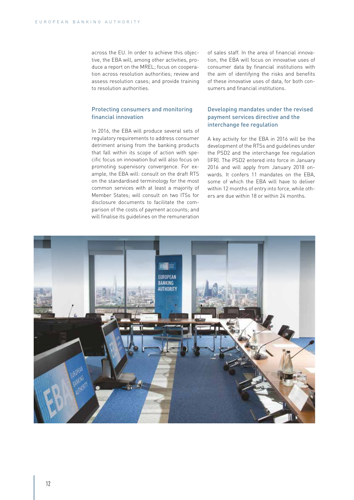across the EU. In order to achieve this objective, the EBA will, among other activities, produce a report on the MREL; focus on cooperation across resolution authorities; review and assess resolution cases; and provide training to resolution authorities.

# Protecting consumers and monitoring financial innovation

In 2016, the EBA will produce several sets of regulatory requirements to address consumer detriment arising from the banking products that fall within its scope of action with specific focus on innovation but will also focus on promoting supervisory convergence. For example, the EBA will: consult on the draft RTS on the standardised terminology for the most common services with at least a majority of Member States; will consult on two ITSs for disclosure documents to facilitate the comparison of the costs of payment accounts; and will finalise its guidelines on the remuneration of sales staff. In the area of financial innovation, the EBA will focus on innovative uses of consumer data by financial institutions with the aim of identifying the risks and benefits of these innovative uses of data, for both consumers and financial institutions.

# Developing mandates under the revised payment services directive and the interchange fee regulation

A key activity for the EBA in 2016 will be the development of the RTSs and guidelines under the PSD2 and the interchange fee regulation (IFR). The PSD2 entered into force in January 2016 and will apply from January 2018 onwards. It confers 11 mandates on the EBA, some of which the EBA will have to deliver within 12 months of entry into force, while others are due within 18 or within 24 months.

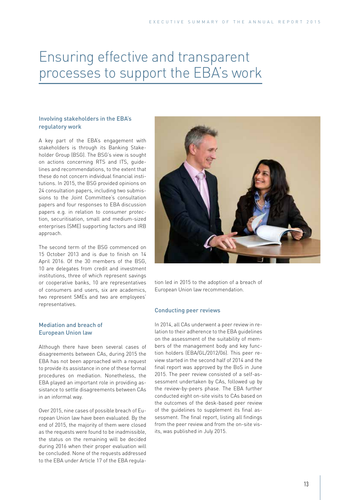# Ensuring effective and transparent processes to support the EBA's work

# Involving stakeholders in the EBA's regulatory work

A key part of the EBA's engagement with stakeholders is through its Banking Stakeholder Group (BSG). The BSG's view is sought on actions concerning RTS and ITS, guidelines and recommendations, to the extent that these do not concern individual financial institutions. In 2015, the BSG provided opinions on 24 consultation papers, including two submissions to the Joint Committee's consultation papers and four responses to EBA discussion papers e.g. in relation to consumer protection, securitisation, small and medium-sized enterprises (SME) supporting factors and IRB approach.

The second term of the BSG commenced on 15 October 2013 and is due to finish on 14 April 2016. Of the 30 members of the BSG, 10 are delegates from credit and investment institutions, three of which represent savings or cooperative banks, 10 are representatives of consumers and users, six are academics, two represent SMEs and two are employees' representatives.

# Mediation and breach of European Union law

Although there have been several cases of disagreements between CAs, during 2015 the EBA has not been approached with a request to provide its assistance in one of these formal procedures on mediation. Nonetheless, the EBA played an important role in providing assistance to settle disagreements between CAs in an informal way.

Over 2015, nine cases of possible breach of European Union law have been evaluated. By the end of 2015, the majority of them were closed as the requests were found to be inadmissible, the status on the remaining will be decided during 2016 when their proper evaluation will be concluded. None of the requests addressed to the EBA under Article 17 of the EBA regula-



tion led in 2015 to the adoption of a breach of European Union law recommendation.

#### Conducting peer reviews

In 2014, all CAs underwent a peer review in relation to their adherence to the EBA guidelines on the assessment of the suitability of members of the management body and key function holders (EBA/GL/2012/06). This peer review started in the second half of 2014 and the final report was approved by the BoS in June 2015. The peer review consisted of a self-assessment undertaken by CAs, followed up by the review-by-peers phase. The EBA further conducted eight on-site visits to CAs based on the outcomes of the desk-based peer review of the guidelines to supplement its final assessment. The final report, listing all findings from the peer review and from the on-site visits, was published in July 2015.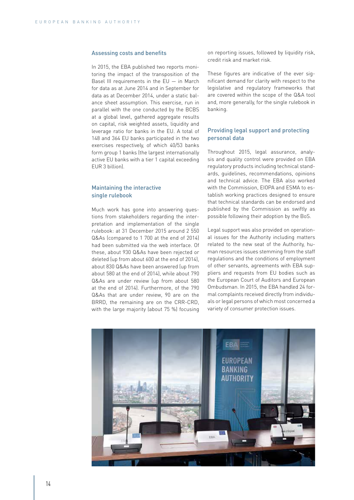#### Assessing costs and benefits

In 2015, the EBA published two reports monitoring the impact of the transposition of the Basel III requirements in the  $EU - in March$ for data as at June 2014 and in September for data as at December 2014, under a static balance sheet assumption. This exercise, run in parallel with the one conducted by the BCBS at a global level, gathered aggregate results on capital, risk weighted assets, liquidity and leverage ratio for banks in the EU. A total of 148 and 364 EU banks participated in the two exercises respectively, of which 40/53 banks form group 1 banks (the largest internationally active EU banks with a tier 1 capital exceeding EUR 3 billion).

# Maintaining the interactive single rulebook

Much work has gone into answering questions from stakeholders regarding the interpretation and implementation of the single rulebook: at 31 December 2015 around 2 550 Q&As (compared to 1 700 at the end of 2014) had been submitted via the web interface. Of these, about 930 Q&As have been rejected or deleted (up from about 600 at the end of 2014), about 830 Q&As have been answered (up from about 580 at the end of 2014), while about 790 Q&As are under review (up from about 580 at the end of 2014). Furthermore, of the 790 Q&As that are under review, 90 are on the BRRD, the remaining are on the CRR-CRD, with the large majority (about 75 %) focusing on reporting issues, followed by liquidity risk, credit risk and market risk.

These figures are indicative of the ever significant demand for clarity with respect to the legislative and regulatory frameworks that are covered within the scope of the Q&A tool and, more generally, for the single rulebook in banking.

# Providing legal support and protecting personal data

Throughout 2015, legal assurance, analysis and quality control were provided on EBA regulatory products including technical standards, guidelines, recommendations, opinions and technical advice. The EBA also worked with the Commission, EIOPA and ESMA to establish working practices designed to ensure that technical standards can be endorsed and published by the Commission as swiftly as possible following their adoption by the BoS.

Legal support was also provided on operational issues for the Authority including matters related to the new seat of the Authority, human resources issues stemming from the staff regulations and the conditions of employment of other servants, agreements with EBA suppliers and requests from EU bodies such as the European Court of Auditors and European Ombudsman. In 2015, the EBA handled 24 formal complaints received directly from individuals or legal persons of which most concerned a variety of consumer protection issues.

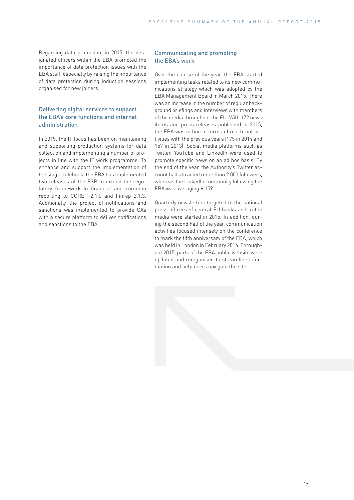Regarding data protection, in 2015, the designated officers within the EBA promoted the importance of data protection issues with the EBA staff, especially by raising the importance of data protection during induction sessions organised for new joiners.

# Delivering digital services to support the EBA's core functions and internal administration

In 2015, the IT focus has been on maintaining and supporting production systems for data collection and implementing a number of projects in line with the IT work programme. To enhance and support the implementation of the single rulebook, the EBA has implemented two releases of the ESP to extend the regulatory framework in financial and common reporting to COREP 2.1.0 and Finrep 2.1.3. Additionally, the project of notifications and sanctions was implemented to provide CAs with a secure platform to deliver notifications and sanctions to the EBA.

#### Communicating and promoting the EBA's work

Over the course of the year, the EBA started implementing tasks related to its new communications strategy which was adopted by the EBA Management Board in March 2015. There was an increase in the number of regular background briefings and interviews with members of the media throughout the EU. With 172 news items and press releases published in 2015, the EBA was in line in terms of reach-out activities with the previous years (175 in 2014 and 157 in 2013). Social media platforms such as Twitter, YouTube and LinkedIn were used to promote specific news on an ad hoc basis. By the end of the year, the Authority's Twitter account had attracted more than 2 000 followers, whereas the LinkedIn community following the EBA was averaging 6 159.

Quarterly newsletters targeted to the national press officers of central EU banks and to the media were started in 2015. In addition, during the second half of the year, communication activities focused intensely on the conference to mark the fifth anniversary of the EBA, which was held in London in February 2016. Throughout 2015, parts of the EBA public website were updated and reorganised to streamline information and help users navigate the site.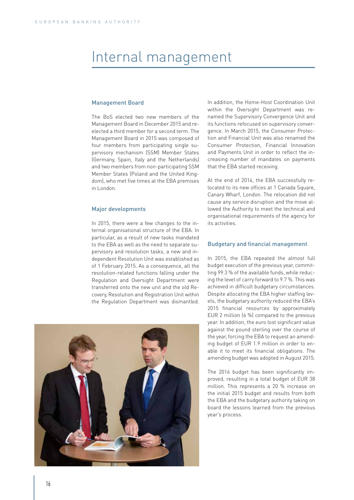# Internal management

#### Management Board

The BoS elected two new members of the Management Board in December 2015 and reelected a third member for a second term. The Management Board in 2015 was composed of four members from participating single supervisory mechanism (SSM) Member States (Germany, Spain, Italy and the Netherlands) and two members from non-participating SSM Member States (Poland and the United Kingdom), who met five times at the EBA premises in London.

#### Major developments

In 2015, there were a few changes to the internal organisational structure of the EBA. In particular, as a result of new tasks mandated to the EBA as well as the need to separate supervisory and resolution tasks, a new and independent Resolution Unit was established as of 1 February 2015. As a consequence, all the resolution-related functions falling under the Regulation and Oversight Department were transferred onto the new unit and the old Recovery, Resolution and Registration Unit within the Regulation Department was dismantled.



In addition, the Home-Host Coordination Unit within the Oversight Department was renamed the Supervisory Convergence Unit and its functions refocused on supervisory convergence. In March 2015, the Consumer Protection and Financial Unit was also renamed the Consumer Protection, Financial Innovation and Payments Unit in order to reflect the increasing number of mandates on payments that the EBA started receiving.

At the end of 2014, the EBA successfully relocated to its new offices at 1 Canada Square, Canary Wharf, London. The relocation did not cause any service disruption and the move allowed the Authority to meet the technical and organisational requirements of the agency for its activities.

#### Budgetary and financial management

In 2015, the EBA repeated the almost full budget execution of the previous year, committing 99.3 % of the available funds, while reducing the level of carry forward to 9.7 %. This was achieved in difficult budgetary circumstances. Despite allocating the EBA higher staffing levels, the budgetary authority reduced the EBA's 2015 financial resources by approximately EUR 2 million (6 %) compared to the previous year. In addition, the euro lost significant value against the pound sterling over the course of the year, forcing the EBA to request an amending budget of EUR 1.9 million in order to enable it to meet its financial obligations. The amending budget was adopted in August 2015.

The 2016 budget has been significantly improved, resulting in a total budget of EUR 38 million. This represents a 20 % increase on the initial 2015 budget and results from both the EBA and the budgetary authority taking on board the lessons learned from the previous year's process.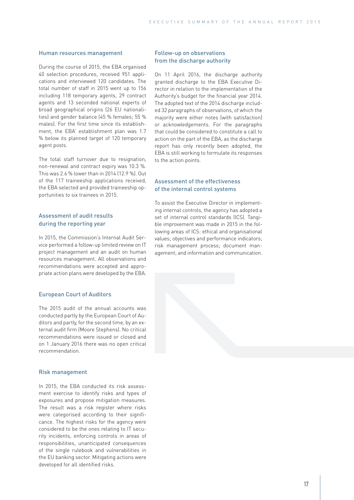#### Human resources management

During the course of 2015, the EBA organised 40 selection procedures, received 951 applications and interviewed 120 candidates. The total number of staff in 2015 went up to 156 including 118 temporary agents, 29 contract agents and 13 seconded national experts of broad geographical origins (26 EU nationalities) and gender balance (45 % females; 55 % males). For the first time since its establishment, the EBA' establishment plan was 1.7 % below its planned target of 120 temporary agent posts.

The total staff turnover due to resignation, non-renewal and contract expiry was 10.3 %. This was 2.6 % lower than in 2014 (12.9 %). Out of the 117 traineeship applications received, the EBA selected and provided traineeship opportunities to six trainees in 2015.

#### Assessment of audit results during the reporting year

In 2015, the Commission's Internal Audit Service performed a follow-up limited review on IT project management and an audit on human resources management. All observations and recommendations were accepted and appropriate action plans were developed by the EBA.

#### European Court of Auditors

The 2015 audit of the annual accounts was conducted partly by the European Court of Auditors and partly, for the second time, by an external audit firm (Moore Stephens). No critical recommendations were issued or closed and on 1 January 2016 there was no open critical recommendation.

#### Risk management

In 2015, the EBA conducted its risk assessment exercise to identify risks and types of exposures and propose mitigation measures. The result was a risk register where risks were categorised according to their significance. The highest risks for the agency were considered to be the ones relating to IT security incidents, enforcing controls in areas of responsibilities, unanticipated consequences of the single rulebook and vulnerabilities in the EU banking sector. Mitigating actions were developed for all identified risks.

#### Follow-up on observations from the discharge authority

On 11 April 2016, the discharge authority granted discharge to the EBA Executive Director in relation to the implementation of the Authority's budget for the financial year 2014. The adopted text of the 2014 discharge included 32 paragraphs of observations, of which the majority were either notes (with satisfaction) or acknowledgements. For the paragraphs that could be considered to constitute a call to action on the part of the EBA, as the discharge report has only recently been adopted, the EBA is still working to formulate its responses to the action points.

### Assessment of the effectiveness of the internal control systems

To assist the Executive Director in implementing internal controls, the agency has adopted a set of internal control standards (ICS). Tangible improvement was made in 2015 in the following areas of ICS: ethical and organisational values; objectives and performance indicators; risk management process; document management; and information and communication.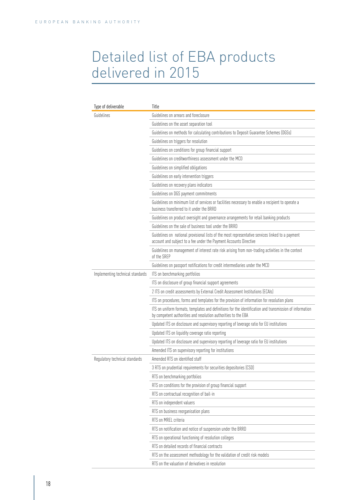# Detailed list of EBA products delivered in 2015

| Type of deliverable              | Title                                                                                                                                                                      |  |
|----------------------------------|----------------------------------------------------------------------------------------------------------------------------------------------------------------------------|--|
| Guidelines                       | Guidelines on arrears and foreclosure                                                                                                                                      |  |
|                                  | Guidelines on the asset separation tool                                                                                                                                    |  |
|                                  | Guidelines on methods for calculating contributions to Deposit Guarantee Schemes (DGSs)                                                                                    |  |
|                                  | Guidelines on triggers for resolution                                                                                                                                      |  |
|                                  | Guidelines on conditions for group financial support                                                                                                                       |  |
|                                  | Guidelines on creditworthiness assessment under the MCD                                                                                                                    |  |
|                                  | Guidelines on simplified obligations                                                                                                                                       |  |
|                                  | Guidelines on early intervention triggers                                                                                                                                  |  |
|                                  | Guidelines on recovery plans indicators                                                                                                                                    |  |
|                                  | Guidelines on DGS payment commitments                                                                                                                                      |  |
|                                  | Guidelines on minimum list of services or facilities necessary to enable a recipient to operate a<br>business transferred to it under the BRRD                             |  |
|                                  | Guidelines on product oversight and governance arrangements for retail banking products                                                                                    |  |
|                                  | Guidelines on the sale of business tool under the BRRD                                                                                                                     |  |
|                                  | Guidelines on national provisional lists of the most representative services linked to a payment<br>account and subject to a fee under the Payment Accounts Directive      |  |
|                                  | Guidelines on management of interest rate risk arising from non-trading activities in the context<br>of the SREP                                                           |  |
|                                  | Guidelines on passport notifications for credit intermediaries under the MCD                                                                                               |  |
| Implementing technical standards | ITS on benchmarking portfolios                                                                                                                                             |  |
|                                  | ITS on disclosure of group financial support agreements                                                                                                                    |  |
|                                  | 2 ITS on credit assessments by External Credit Assessment Institutions (ECAIs)                                                                                             |  |
|                                  | ITS on procedures, forms and templates for the provision of information for resolution plans                                                                               |  |
|                                  | ITS on uniform formats, templates and definitions for the identification and transmission of information<br>by competent authorities and resolution authorities to the EBA |  |
|                                  | Updated ITS on disclosure and supervisory reporting of leverage ratio for EU institutions                                                                                  |  |
|                                  | Updated ITS on liquidity coverage ratio reporting                                                                                                                          |  |
|                                  | Updated ITS on disclosure and supervisory reporting of leverage ratio for EU institutions                                                                                  |  |
|                                  | Amended ITS on supervisory reporting for institutions                                                                                                                      |  |
| Regulatory technical standards   | Amended RTS on identified staff                                                                                                                                            |  |
|                                  | 3 RTS on prudential requirements for securities depositories (CSD)                                                                                                         |  |
|                                  | RTS on benchmarking portfolios                                                                                                                                             |  |
|                                  | RTS on conditions for the provision of group financial support                                                                                                             |  |
|                                  | RTS on contractual recognition of bail-in                                                                                                                                  |  |
|                                  | RTS on independent valuers                                                                                                                                                 |  |
|                                  | RTS on business reorganisation plans                                                                                                                                       |  |
|                                  | RTS on MREL criteria                                                                                                                                                       |  |
|                                  | RTS on notification and notice of suspension under the BRRD                                                                                                                |  |
|                                  | RTS on operational functioning of resolution colleges                                                                                                                      |  |
|                                  | RTS on detailed records of financial contracts                                                                                                                             |  |
|                                  | RTS on the assessment methodology for the validation of credit risk models                                                                                                 |  |
|                                  | RTS on the valuation of derivatives in resolution                                                                                                                          |  |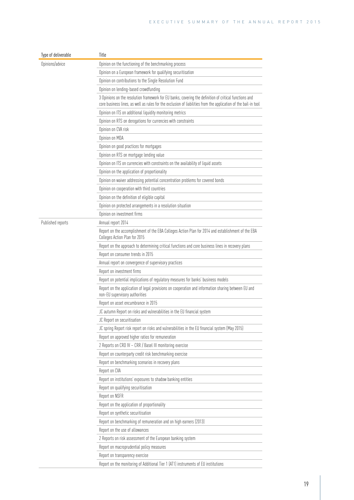| Type of deliverable | Title                                                                                                                                                                                                                     |
|---------------------|---------------------------------------------------------------------------------------------------------------------------------------------------------------------------------------------------------------------------|
| Opinions/advice     | Opinion on the functioning of the benchmarking process                                                                                                                                                                    |
|                     | Opinion on a European framework for qualifying securitisation                                                                                                                                                             |
|                     | Opinion on contributions to the Single Resolution Fund                                                                                                                                                                    |
|                     | Opinion on lending-based crowdfunding                                                                                                                                                                                     |
|                     | 3 Opinions on the resolution framework for EU banks, covering the definition of critical functions and<br>core business lines, as well as rules for the exclusion of liabilities from the application of the bail-in tool |
|                     | Opinion on ITS on additional liquidity monitoring metrics                                                                                                                                                                 |
|                     | Opinion on RTS on derogations for currencies with constraints                                                                                                                                                             |
|                     | Opinion on CVA risk                                                                                                                                                                                                       |
|                     | Opinion on MDA                                                                                                                                                                                                            |
|                     | Opinion on good practices for mortgages                                                                                                                                                                                   |
|                     | Opinion on RTS on mortgage lending value                                                                                                                                                                                  |
|                     | Opinion on ITS on currencies with constraints on the availability of liquid assets                                                                                                                                        |
|                     | Opinion on the application of proportionality                                                                                                                                                                             |
|                     | Opinion on waiver addressing potential concentration problems for covered bonds                                                                                                                                           |
|                     | Opinion on cooperation with third countries                                                                                                                                                                               |
|                     | Opinion on the definition of eligible capital                                                                                                                                                                             |
|                     | Opinion on protected arrangements in a resolution situation                                                                                                                                                               |
|                     | Opinion on investment firms                                                                                                                                                                                               |
| Published reports   | Annual report 2014                                                                                                                                                                                                        |
|                     | Report on the accomplishment of the EBA Colleges Action Plan for 2014 and establishment of the EBA<br>Colleges Action Plan for 2015                                                                                       |
|                     | Report on the approach to determining critical functions and core business lines in recovery plans                                                                                                                        |
|                     | Report on consumer trends in 2015                                                                                                                                                                                         |
|                     | Annual report on convergence of supervisory practices                                                                                                                                                                     |
|                     | Report on investment firms                                                                                                                                                                                                |
|                     | Report on potential implications of regulatory measures for banks' business models                                                                                                                                        |
|                     | Report on the application of legal provisions on cooperation and information sharing between EU and<br>non-EU supervisory authorities                                                                                     |
|                     | Report on asset encumbrance in 2015                                                                                                                                                                                       |
|                     | JC autumn Report on risks and vulnerabilities in the EU financial system                                                                                                                                                  |
|                     | JC Report on securitisation                                                                                                                                                                                               |
|                     | JC spring Report risk report on risks and vulnerabilities in the EU financial system (May 2015)                                                                                                                           |
|                     | Report on approved higher ratios for remuneration                                                                                                                                                                         |
|                     | 2 Reports on CRD IV - CRR / Basel III monitoring exercise                                                                                                                                                                 |
|                     | Report on counterparty credit risk benchmarking exercise                                                                                                                                                                  |
|                     | Report on benchmarking scenarios in recovery plans                                                                                                                                                                        |
|                     | Report on CVA                                                                                                                                                                                                             |
|                     | Report on institutions' exposures to shadow banking entities                                                                                                                                                              |
|                     | Report on qualifying securitisation                                                                                                                                                                                       |
|                     | Report on NSFR                                                                                                                                                                                                            |
|                     | Report on the application of proportionality                                                                                                                                                                              |
|                     | Report on synthetic securitisation                                                                                                                                                                                        |
|                     | Report on benchmarking of remuneration and on high earners (2013)                                                                                                                                                         |
|                     | Report on the use of allowances                                                                                                                                                                                           |
|                     | 2 Reports on risk assessment of the European banking system                                                                                                                                                               |
|                     | Report on macroprudential policy measures                                                                                                                                                                                 |
|                     | Report on transparency exercise                                                                                                                                                                                           |
|                     | Report on the monitoring of Additional Tier 1 (AT1) instruments of EU institutions                                                                                                                                        |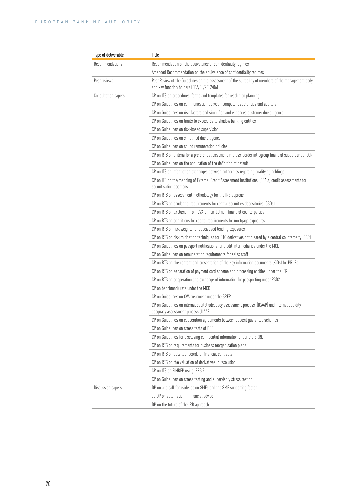| Type of deliverable | Title                                                                                                                                             |  |  |
|---------------------|---------------------------------------------------------------------------------------------------------------------------------------------------|--|--|
| Recommendations     | Recommendation on the equivalence of confidentiality regimes                                                                                      |  |  |
|                     | Amended Recommendation on the equivalence of confidentiality regimes                                                                              |  |  |
| Peer reviews        | Peer Review of the Guidelines on the assessment of the suitability of members of the management body<br>and key function holders (EBA/GL/2012/06) |  |  |
| Consultation papers | CP on ITS on procedures, forms and templates for resolution planning                                                                              |  |  |
|                     | CP on Guidelines on communication between competent authorities and auditors                                                                      |  |  |
|                     | CP on Guidelines on risk factors and simplified and enhanced customer due diligence                                                               |  |  |
|                     | CP on Guidelines on limits to exposures to shadow banking entities                                                                                |  |  |
|                     | CP on Guidelines on risk-based supervision                                                                                                        |  |  |
|                     | CP on Guidelines on simplified due diligence                                                                                                      |  |  |
|                     | CP on Guidelines on sound remuneration policies                                                                                                   |  |  |
|                     | CP on RTS on criteria for a preferential treatment in cross-border intragroup financial support under LCR                                         |  |  |
|                     | CP on Guidelines on the application of the definition of default                                                                                  |  |  |
|                     | CP on ITS on information exchanges between authorities regarding qualifying holdings                                                              |  |  |
|                     | CP on ITS on the mapping of External Credit Assessment Institutions' (ECAIs) credit assessments for<br>securitisation positions.                  |  |  |
|                     | CP on RTS on assessment methodology for the IRB approach                                                                                          |  |  |
|                     | CP on RTS on prudential requirements for central securities depositories (CSDs)                                                                   |  |  |
|                     | CP on RTS on exclusion from CVA of non-EU non-financial counterparties                                                                            |  |  |
|                     | CP on RTS on conditions for capital requirements for mortgage exposures                                                                           |  |  |
|                     | CP on RTS on risk weights for specialised lending exposures                                                                                       |  |  |
|                     | CP on RTS on risk mitigation techniques for OTC derivatives not cleared by a central counterparty (CCP)                                           |  |  |
|                     | CP on Guidelines on passport notifications for credit intermediaries under the MCD                                                                |  |  |
|                     | CP on Guidelines on remuneration requirements for sales staff                                                                                     |  |  |
|                     | CP on RTS on the content and presentation of the key information documents (KIDs) for PRIIPs                                                      |  |  |
|                     | CP on RTS on separation of payment card scheme and processing entities under the IFR                                                              |  |  |
|                     | CP on RTS on cooperation and exchange of information for passporting under PSD2                                                                   |  |  |
|                     | CP on benchmark rate under the MCD                                                                                                                |  |  |
|                     | CP on Guidelines on CVA treatment under the SREP                                                                                                  |  |  |
|                     | CP on Guidelines on internal capital adequacy assessment process (ICAAP) and internal liquidity<br>adequacy assessment process (ILAAP)            |  |  |
|                     | CP on Guidelines on cooperation agreements between deposit guarantee schemes                                                                      |  |  |
|                     | CP on Guidelines on stress tests of DGS                                                                                                           |  |  |
|                     | CP on Guidelines for disclosing confidential information under the BRRD                                                                           |  |  |
|                     | CP on RTS on requirements for business reorganisation plans                                                                                       |  |  |
|                     | CP on RTS on detailed records of financial contracts                                                                                              |  |  |
|                     | CP on RTS on the valuation of derivatives in resolution                                                                                           |  |  |
|                     | CP on ITS on FINREP using IFRS 9                                                                                                                  |  |  |
|                     | CP on Guidelines on stress testing and supervisory stress testing                                                                                 |  |  |
| Discussion papers   | DP on and call for evidence on SMEs and the SME supporting factor                                                                                 |  |  |
|                     | JC DP on automation in financial advice                                                                                                           |  |  |
|                     | DP on the future of the IRB approach                                                                                                              |  |  |